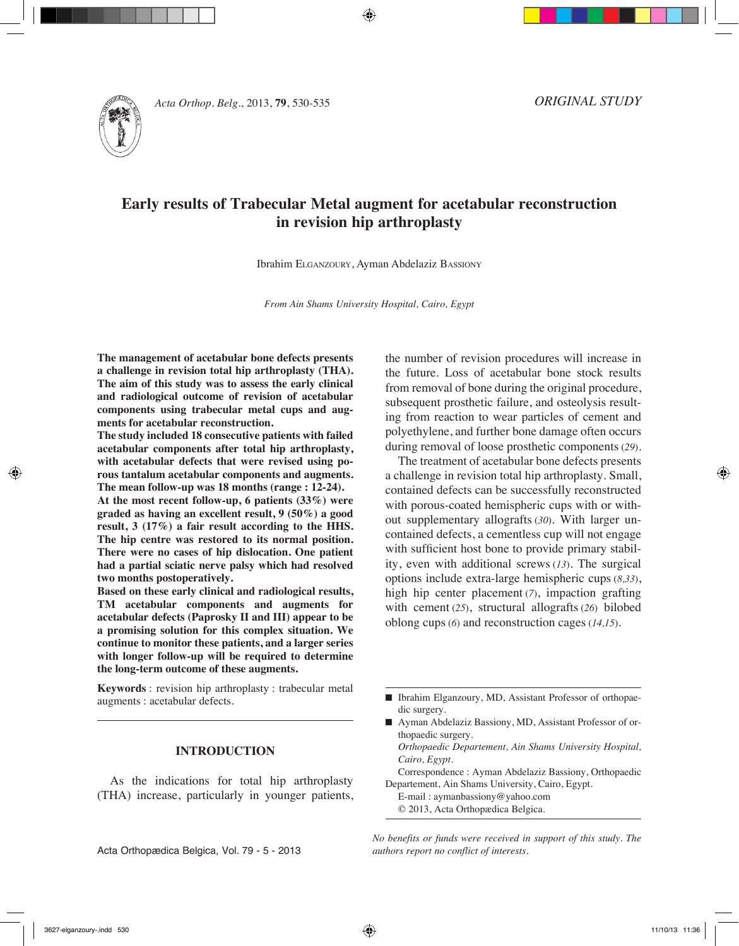



# **Early results of Trabecular Metal augment for acetabular reconstruction in revision hip arthroplasty**

Ibrahim Elganzoury, Ayman Abdelaziz Bassiony

*From Ain Shams University Hospital, Cairo, Egypt*

**The management of acetabular bone defects presents a challenge in revision total hip arthroplasty (THA). The aim of this study was to assess the early clinical and radiological outcome of revision of acetabular components using trabecular metal cups and augments for acetabular reconstruction.**

**The study included 18 consecutive patients with failed acetabular components after total hip arthroplasty, with acetabular defects that were revised using porous tantalum acetabular components and augments. The mean follow-up was 18 months (range : 12-24).** 

**At the most recent follow-up, 6 patients (33%) were graded as having an excellent result, 9 (50%) a good result, 3 (17%) a fair result according to the HHS. The hip centre was restored to its normal position. There were no cases of hip dislocation. One patient had a partial sciatic nerve palsy which had resolved two months postoperatively.**

**Based on these early clinical and radiological results, TM acetabular components and augments for acetabular defects (Paprosky II and III) appear to be a promising solution for this complex situation. We continue to monitor these patients, and a larger series with longer follow-up will be required to determine the long-term outcome of these augments.**

**Keywords** : revision hip arthroplasty : trabecular metal augments : acetabular defects.

### **INTRODUCTION**

As the indications for total hip arthroplasty (THA) increase, particularly in younger patients, the number of revision procedures will increase in the future. Loss of acetabular bone stock results from removal of bone during the original procedure, subsequent prosthetic failure, and osteolysis resulting from reaction to wear particles of cement and polyethylene, and further bone damage often occurs during removal of loose prosthetic components (*29*).

The treatment of acetabular bone defects presents a challenge in revision total hip arthroplasty. Small, contained defects can be successfully reconstructed with porous-coated hemispheric cups with or without supplementary allografts (*30*). With larger uncontained defects, a cementless cup will not engage with sufficient host bone to provide primary stability, even with additional screws (*13*). The surgical options include extra-large hemispheric cups (*8,33*), high hip center placement (*7*), impaction grafting with cement (*25*), structural allografts (*26*) bilobed oblong cups (*6*) and reconstruction cages (*14,15*).

- Ibrahim Elganzoury, MD, Assistant Professor of orthopaedic surgery.
- Ayman Abdelaziz Bassiony, MD, Assistant Professor of orthopaedic surgery.
	- *Orthopaedic Departement, Ain Shams University Hospital, Cairo, Egypt.*
- Correspondence : Ayman Abdelaziz Bassiony, Orthopaedic Departement, Ain Shams University, Cairo, Egypt.

E-mail : aymanbassiony@yahoo.com © 2013, Acta Orthopædica Belgica.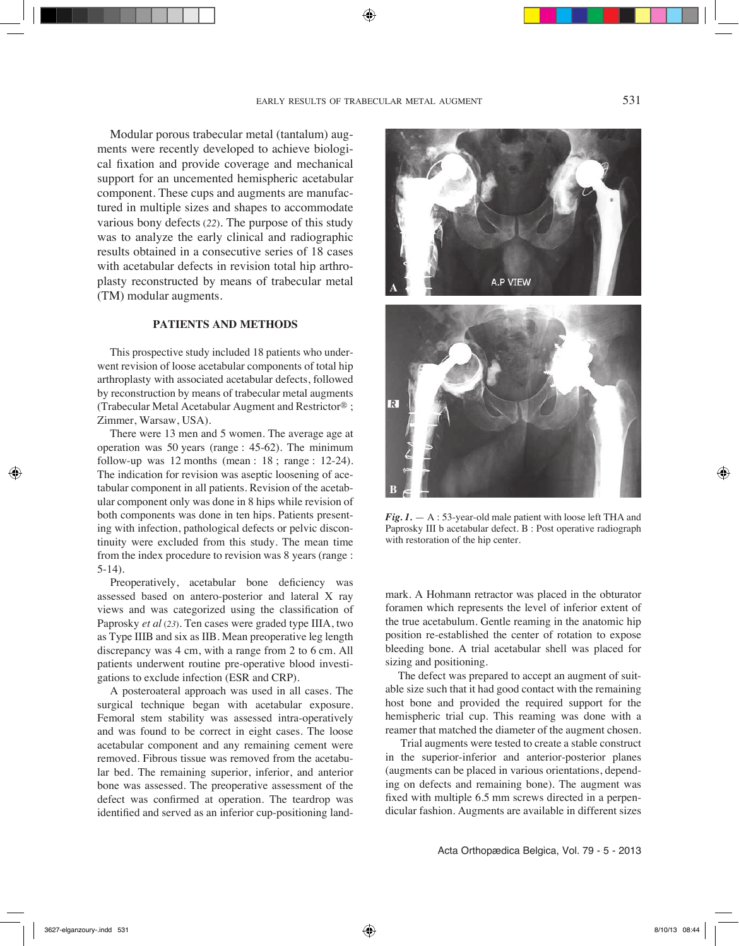Modular porous trabecular metal (tantalum) augments were recently developed to achieve biological fixation and provide coverage and mechanical support for an uncemented hemispheric acetabular component. These cups and augments are manufactured in multiple sizes and shapes to accommodate various bony defects (*22*). The purpose of this study was to analyze the early clinical and radiographic results obtained in a consecutive series of 18 cases with acetabular defects in revision total hip arthroplasty reconstructed by means of trabecular metal (TM) modular augments.

## **PATIENTS AND METHODS**

This prospective study included 18 patients who underwent revision of loose acetabular components of total hip arthroplasty with associated acetabular defects, followed by reconstruction by means of trabecular metal augments (Trabecular Metal Acetabular Augment and Restrictor® ; Zimmer, Warsaw, USA).

There were 13 men and 5 women. The average age at operation was 50 years (range : 45-62). The minimum follow-up was  $12$  months (mean :  $18$ ; range :  $12-24$ ). The indication for revision was aseptic loosening of acetabular component in all patients. Revision of the acetabular component only was done in 8 hips while revision of both components was done in ten hips. Patients presenting with infection, pathological defects or pelvic discontinuity were excluded from this study. The mean time from the index procedure to revision was 8 years (range : 5-14).

Preoperatively, acetabular bone deficiency was assessed based on antero-posterior and lateral X ray views and was categorized using the classification of Paprosky *et al* (*23*). Ten cases were graded type IIIA, two as Type IIIB and six as IIB. Mean preoperative leg length discrepancy was 4 cm, with a range from 2 to 6 cm. All patients underwent routine pre-operative blood investigations to exclude infection (ESR and CRP).

A posteroateral approach was used in all cases. The surgical technique began with acetabular exposure. Femoral stem stability was assessed intra-operatively and was found to be correct in eight cases. The loose acetabular component and any remaining cement were removed. Fibrous tissue was removed from the acetabular bed. The remaining superior, inferior, and anterior bone was assessed. The preoperative assessment of the defect was confirmed at operation. The teardrop was identified and served as an inferior cup-positioning land-





*Fig. 1.* — A : 53-year-old male patient with loose left THA and Paprosky III b acetabular defect. B : Post operative radiograph with restoration of the hip center.

mark. A Hohmann retractor was placed in the obturator foramen which represents the level of inferior extent of the true acetabulum. Gentle reaming in the anatomic hip position re-established the center of rotation to expose bleeding bone. A trial acetabular shell was placed for sizing and positioning.

The defect was prepared to accept an augment of suitable size such that it had good contact with the remaining host bone and provided the required support for the hemispheric trial cup. This reaming was done with a reamer that matched the diameter of the augment chosen.

 Trial augments were tested to create a stable construct in the superior-inferior and anterior-posterior planes (augments can be placed in various orientations, depending on defects and remaining bone). The augment was fixed with multiple 6.5 mm screws directed in a perpendicular fashion. Augments are available in different sizes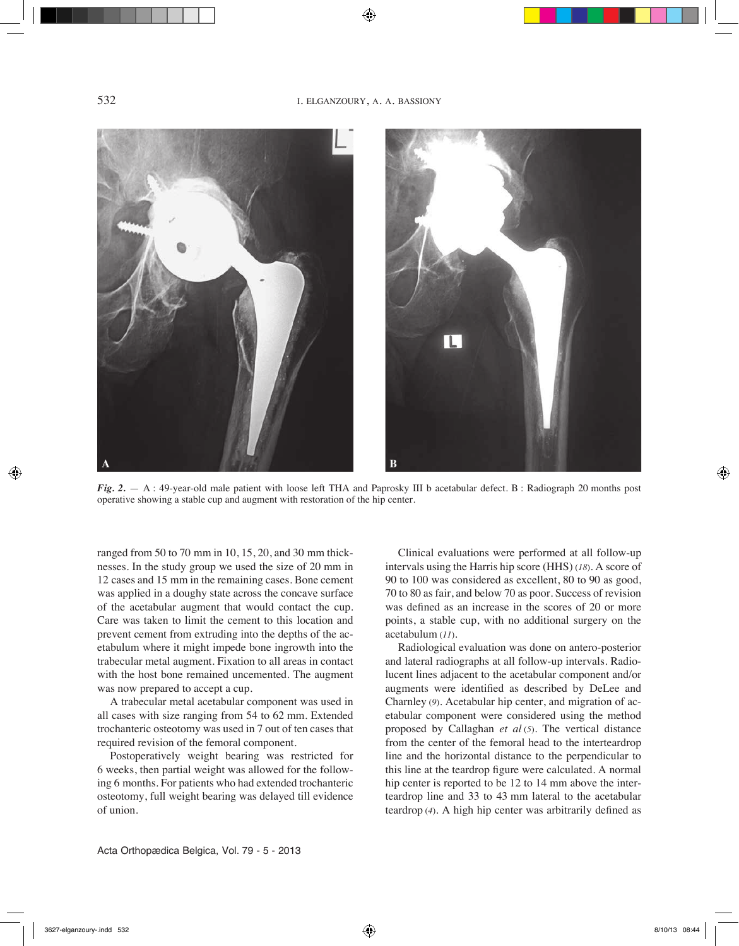

*Fig. 2.* — A: 49-year-old male patient with loose left THA and Paprosky III b acetabular defect. B: Radiograph 20 months post operative showing a stable cup and augment with restoration of the hip center.

ranged from 50 to 70 mm in 10, 15, 20, and 30 mm thicknesses. In the study group we used the size of 20 mm in 12 cases and 15 mm in the remaining cases. Bone cement was applied in a doughy state across the concave surface of the acetabular augment that would contact the cup. Care was taken to limit the cement to this location and prevent cement from extruding into the depths of the acetabulum where it might impede bone ingrowth into the trabecular metal augment. Fixation to all areas in contact with the host bone remained uncemented. The augment was now prepared to accept a cup.

A trabecular metal acetabular component was used in all cases with size ranging from 54 to 62 mm. Extended trochanteric osteotomy was used in 7 out of ten cases that required revision of the femoral component.

Postoperatively weight bearing was restricted for 6 weeks, then partial weight was allowed for the following 6 months. For patients who had extended trochanteric osteotomy, full weight bearing was delayed till evidence of union.

Clinical evaluations were performed at all follow-up intervals using the Harris hip score (HHS) (*18*). A score of 90 to 100 was considered as excellent, 80 to 90 as good, 70 to 80 as fair, and below 70 as poor. Success of revision was defined as an increase in the scores of 20 or more points, a stable cup, with no additional surgery on the acetabulum (*11*).

Radiological evaluation was done on antero-posterior and lateral radiographs at all follow-up intervals. Radiolucent lines adjacent to the acetabular component and/or augments were identified as described by DeLee and Charnley (*9*). Acetabular hip center, and migration of acetabular component were considered using the method proposed by Callaghan *et al* (*5*). The vertical distance from the center of the femoral head to the interteardrop line and the horizontal distance to the perpendicular to this line at the teardrop figure were calculated. A normal hip center is reported to be 12 to 14 mm above the interteardrop line and 33 to 43 mm lateral to the acetabular teardrop (*4*). A high hip center was arbitrarily defined as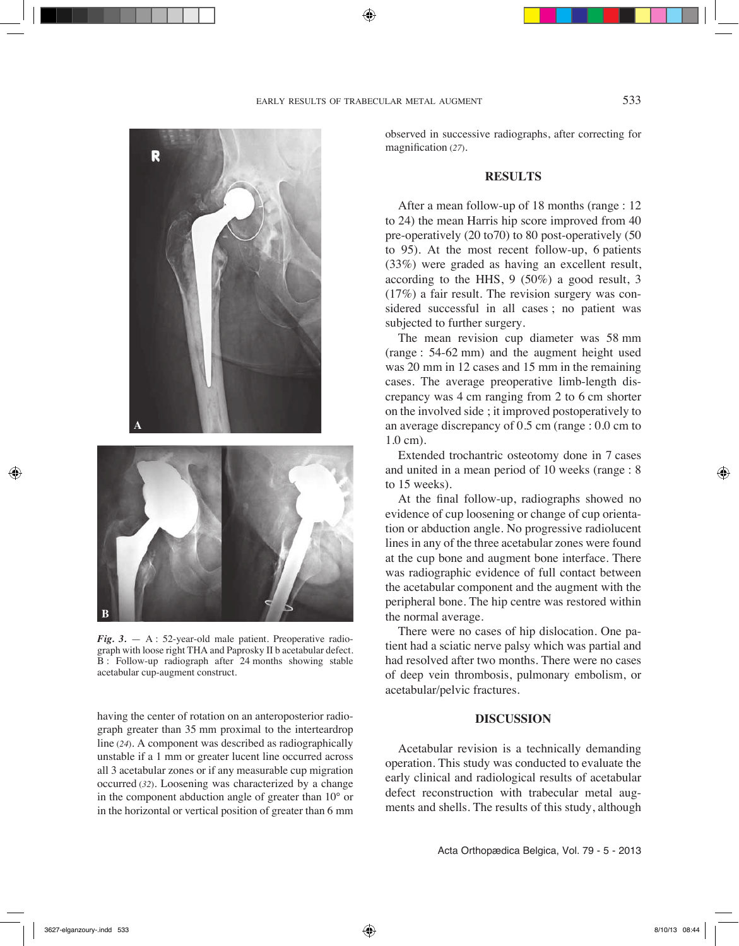

*Fig. 3.* — A : 52-year-old male patient. Preoperative radiograph with loose right THA and Paprosky II b acetabular defect. B : Follow-up radiograph after 24 months showing stable acetabular cup-augment construct.

**B**

having the center of rotation on an anteroposterior radiograph greater than 35 mm proximal to the interteardrop line (*24*). A component was described as radiographically unstable if a 1 mm or greater lucent line occurred across all 3 acetabular zones or if any measurable cup migration occurred (*32*). Loosening was characterized by a change in the component abduction angle of greater than 10° or in the horizontal or vertical position of greater than 6 mm

observed in successive radiographs, after correcting for magnification (*27*)*.*

# **RESULTS**

After a mean follow-up of 18 months (range : 12 to 24) the mean Harris hip score improved from 40 pre-operatively (20 to70) to 80 post-operatively (50 to 95). At the most recent follow-up, 6 patients (33%) were graded as having an excellent result, according to the HHS, 9 (50%) a good result, 3 (17%) a fair result. The revision surgery was considered successful in all cases ; no patient was subjected to further surgery.

The mean revision cup diameter was 58 mm (range : 54-62 mm) and the augment height used was 20 mm in 12 cases and 15 mm in the remaining cases. The average preoperative limb-length discrepancy was 4 cm ranging from 2 to 6 cm shorter on the involved side ; it improved postoperatively to an average discrepancy of 0.5 cm (range : 0.0 cm to 1.0 cm).

Extended trochantric osteotomy done in 7 cases and united in a mean period of 10 weeks (range : 8 to 15 weeks).

At the final follow-up, radiographs showed no evidence of cup loosening or change of cup orientation or abduction angle. No progressive radiolucent lines in any of the three acetabular zones were found at the cup bone and augment bone interface. There was radiographic evidence of full contact between the acetabular component and the augment with the peripheral bone. The hip centre was restored within the normal average.

There were no cases of hip dislocation. One patient had a sciatic nerve palsy which was partial and had resolved after two months. There were no cases of deep vein thrombosis, pulmonary embolism, or acetabular/pelvic fractures.

### **DISCUSSION**

Acetabular revision is a technically demanding operation. This study was conducted to evaluate the early clinical and radiological results of acetabular defect reconstruction with trabecular metal augments and shells. The results of this study, although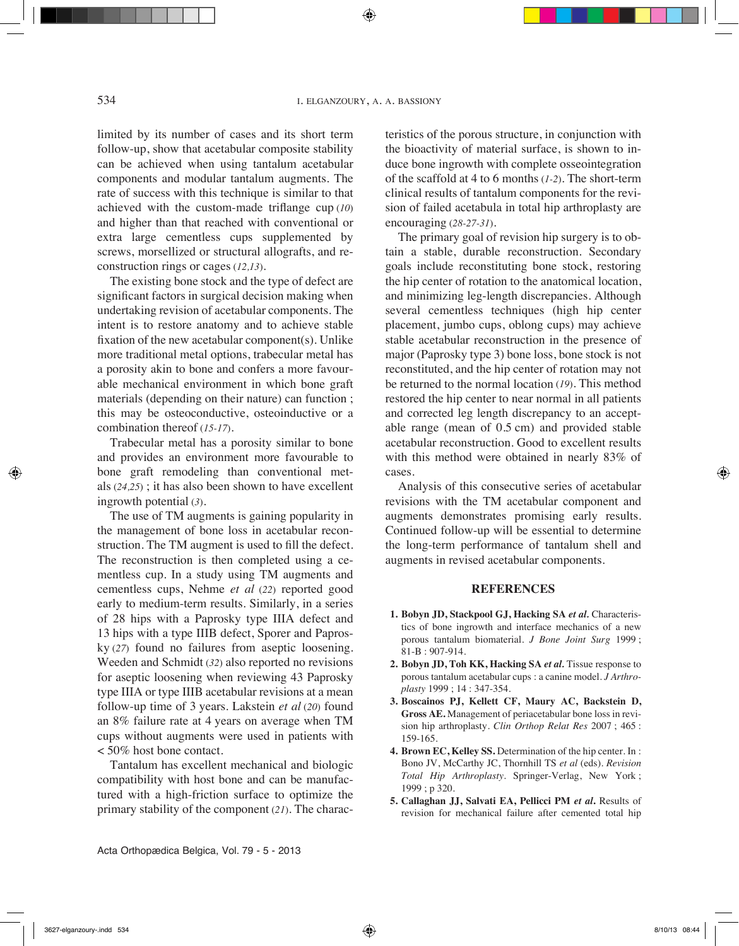limited by its number of cases and its short term follow-up, show that acetabular composite stability can be achieved when using tantalum acetabular components and modular tantalum augments. The rate of success with this technique is similar to that achieved with the custom-made triflange cup (*10*) and higher than that reached with conventional or extra large cementless cups supplemented by screws, morsellized or structural allografts, and reconstruction rings or cages (*12,13*).

The existing bone stock and the type of defect are significant factors in surgical decision making when undertaking revision of acetabular components. The intent is to restore anatomy and to achieve stable fixation of the new acetabular component(s). Unlike more traditional metal options, trabecular metal has a porosity akin to bone and confers a more favourable mechanical environment in which bone graft materials (depending on their nature) can function ; this may be osteoconductive, osteoinductive or a combination thereof (*15-17*).

Trabecular metal has a porosity similar to bone and provides an environment more favourable to bone graft remodeling than conventional metals (*24,25*) ; it has also been shown to have excellent ingrowth potential (*3*).

The use of TM augments is gaining popularity in the management of bone loss in acetabular reconstruction. The TM augment is used to fill the defect. The reconstruction is then completed using a cementless cup. In a study using TM augments and cementless cups, Nehme *et al* (*22*) reported good early to medium-term results. Similarly, in a series of 28 hips with a Paprosky type IIIA defect and 13 hips with a type IIIB defect, Sporer and Paprosky (*27*) found no failures from aseptic loosening. Weeden and Schmidt (*32*) also reported no revisions for aseptic loosening when reviewing 43 Paprosky type IIIA or type IIIB acetabular revisions at a mean follow-up time of 3 years. Lakstein *et al* (*20*) found an 8% failure rate at 4 years on average when TM cups without augments were used in patients with < 50% host bone contact.

Tantalum has excellent mechanical and biologic compatibility with host bone and can be manufactured with a high-friction surface to optimize the primary stability of the component (*21*). The characteristics of the porous structure, in conjunction with the bioactivity of material surface, is shown to induce bone ingrowth with complete osseointegration of the scaffold at 4 to 6 months (*1-2*). The short-term clinical results of tantalum components for the revision of failed acetabula in total hip arthroplasty are encouraging (*28-27-31*).

The primary goal of revision hip surgery is to obtain a stable, durable reconstruction. Secondary goals include reconstituting bone stock, restoring the hip center of rotation to the anatomical location, and minimizing leg-length discrepancies. Although several cementless techniques (high hip center placement, jumbo cups, oblong cups) may achieve stable acetabular reconstruction in the presence of major (Paprosky type 3) bone loss, bone stock is not reconstituted, and the hip center of rotation may not be returned to the normal location (*19*). This method restored the hip center to near normal in all patients and corrected leg length discrepancy to an acceptable range (mean of 0.5 cm) and provided stable acetabular reconstruction. Good to excellent results with this method were obtained in nearly 83% of cases.

Analysis of this consecutive series of acetabular revisions with the TM acetabular component and augments demonstrates promising early results. Continued follow-up will be essential to determine the long-term performance of tantalum shell and augments in revised acetabular components.

## **REFERENCES**

- **1. Bobyn JD, Stackpool GJ, Hacking SA** *et al.* Characteristics of bone ingrowth and interface mechanics of a new porous tantalum biomaterial. *J Bone Joint Surg* 1999 ; 81-B : 907-914.
- **2. Bobyn JD, Toh KK, Hacking SA** *et al.* Tissue response to porous tantalum acetabular cups : a canine model. *J Arthroplasty* 1999 ; 14 : 347-354.
- **3. Boscainos PJ, Kellett CF, Maury AC, Backstein D, Gross AE.** Management of periacetabular bone loss in revision hip arthroplasty. *Clin Orthop Relat Res* 2007 ; 465 : 159-165.
- **4. Brown EC, Kelley SS.** Determination of the hip center. In : Bono JV, McCarthy JC, Thornhill TS *et al* (eds). *Revision Total Hip Arthroplasty*. Springer-Verlag, New York ; 1999 ; p 320.
- **5. Callaghan JJ, Salvati EA, Pellicci PM** *et al***.** Results of revision for mechanical failure after cemented total hip